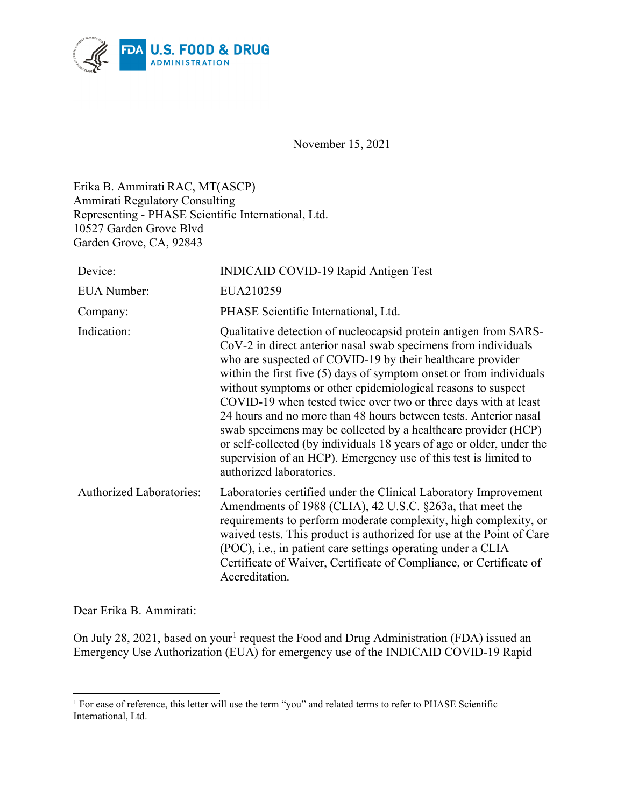

November 15, 2021

Erika B. Ammirati RAC, MT(ASCP) Ammirati Regulatory Consulting Representing - PHASE Scientific International, Ltd. 10527 Garden Grove Blvd Garden Grove, CA, 92843

| Device:                         | <b>INDICAID COVID-19 Rapid Antigen Test</b>                                                                                                                                                                                                                                                                                                                                                                                                                                                                                                                                                                                                                                                                                 |
|---------------------------------|-----------------------------------------------------------------------------------------------------------------------------------------------------------------------------------------------------------------------------------------------------------------------------------------------------------------------------------------------------------------------------------------------------------------------------------------------------------------------------------------------------------------------------------------------------------------------------------------------------------------------------------------------------------------------------------------------------------------------------|
| <b>EUA</b> Number:              | EUA210259                                                                                                                                                                                                                                                                                                                                                                                                                                                                                                                                                                                                                                                                                                                   |
| Company:                        | PHASE Scientific International, Ltd.                                                                                                                                                                                                                                                                                                                                                                                                                                                                                                                                                                                                                                                                                        |
| Indication:                     | Qualitative detection of nucleocapsid protein antigen from SARS-<br>CoV-2 in direct anterior nasal swab specimens from individuals<br>who are suspected of COVID-19 by their healthcare provider<br>within the first five $(5)$ days of symptom onset or from individuals<br>without symptoms or other epidemiological reasons to suspect<br>COVID-19 when tested twice over two or three days with at least<br>24 hours and no more than 48 hours between tests. Anterior nasal<br>swab specimens may be collected by a healthcare provider (HCP)<br>or self-collected (by individuals 18 years of age or older, under the<br>supervision of an HCP). Emergency use of this test is limited to<br>authorized laboratories. |
| <b>Authorized Laboratories:</b> | Laboratories certified under the Clinical Laboratory Improvement<br>Amendments of 1988 (CLIA), 42 U.S.C. §263a, that meet the<br>requirements to perform moderate complexity, high complexity, or<br>waived tests. This product is authorized for use at the Point of Care<br>(POC), i.e., in patient care settings operating under a CLIA<br>Certificate of Waiver, Certificate of Compliance, or Certificate of<br>Accreditation.                                                                                                                                                                                                                                                                                         |

Dear Erika B. Ammirati:

On July 28, 202[1](#page-0-0), based on your<sup>1</sup> request the Food and Drug Administration (FDA) issued an Emergency Use Authorization (EUA) for emergency use of the INDICAID COVID-19 Rapid

<span id="page-0-0"></span><sup>&</sup>lt;sup>1</sup> For ease of reference, this letter will use the term "you" and related terms to refer to PHASE Scientific International, Ltd.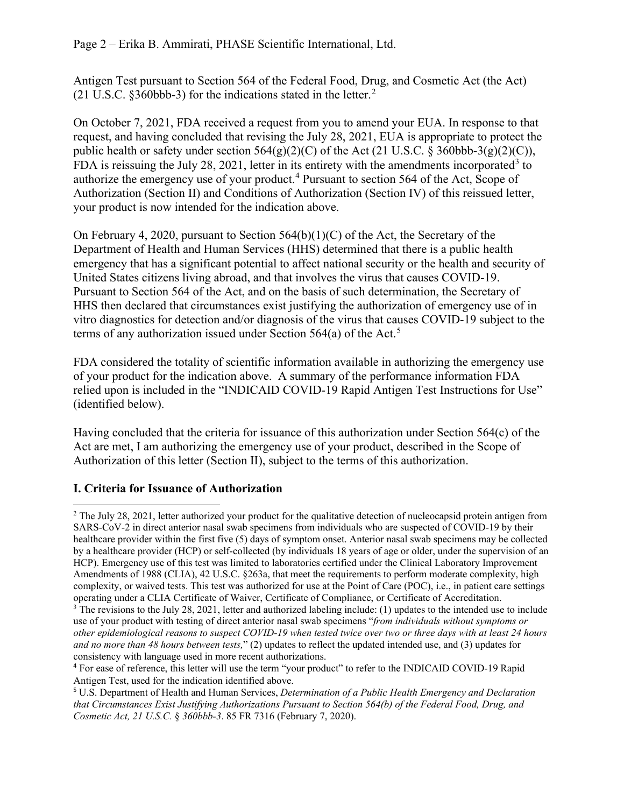Antigen Test pursuant to Section 564 of the Federal Food, Drug, and Cosmetic Act (the Act) (21 U.S.C. §360bbb-3) for the indications stated in the letter. [2](#page-1-0)

On October 7, 2021, FDA received a request from you to amend your EUA. In response to that request, and having concluded that revising the July 28, 2021, EUA is appropriate to protect the public health or safety under section  $564(g)(2)(C)$  of the Act (21 U.S.C. § 360bbb-3(g)(2)(C)), FDA is reissuing the July 28, 2021, letter in its entirety with the amendments incorporated<sup>[3](#page-1-1)</sup> to authorize the emergency use of your product.<sup>[4](#page-1-2)</sup> Pursuant to section 564 of the Act, Scope of Authorization (Section II) and Conditions of Authorization (Section IV) of this reissued letter, your product is now intended for the indication above.

On February 4, 2020, pursuant to Section 564(b)(1)(C) of the Act, the Secretary of the Department of Health and Human Services (HHS) determined that there is a public health emergency that has a significant potential to affect national security or the health and security of United States citizens living abroad, and that involves the virus that causes COVID-19. Pursuant to Section 564 of the Act, and on the basis of such determination, the Secretary of HHS then declared that circumstances exist justifying the authorization of emergency use of in vitro diagnostics for detection and/or diagnosis of the virus that causes COVID-19 subject to the terms of any authorization issued under Section [5](#page-1-3)64(a) of the Act.<sup>5</sup>

FDA considered the totality of scientific information available in authorizing the emergency use of your product for the indication above. A summary of the performance information FDA relied upon is included in the "INDICAID COVID-19 Rapid Antigen Test Instructions for Use" (identified below).

Having concluded that the criteria for issuance of this authorization under Section 564(c) of the Act are met, I am authorizing the emergency use of your product, described in the Scope of Authorization of this letter (Section II), subject to the terms of this authorization.

# **I. Criteria for Issuance of Authorization**

<span id="page-1-0"></span> $2$  The July 28, 2021, letter authorized your product for the qualitative detection of nucleocapsid protein antigen from SARS-CoV-2 in direct anterior nasal swab specimens from individuals who are suspected of COVID-19 by their healthcare provider within the first five (5) days of symptom onset. Anterior nasal swab specimens may be collected by a healthcare provider (HCP) or self-collected (by individuals 18 years of age or older, under the supervision of an HCP). Emergency use of this test was limited to laboratories certified under the Clinical Laboratory Improvement Amendments of 1988 (CLIA), 42 U.S.C. §263a, that meet the requirements to perform moderate complexity, high complexity, or waived tests. This test was authorized for use at the Point of Care (POC), i.e., in patient care settings operating under a CLIA Certificate of Waiver, Certificate of Compliance, or Certificate of Accreditation.

<span id="page-1-1"></span><sup>&</sup>lt;sup>3</sup> The revisions to the July 28, 2021, letter and authorized labeling include: (1) updates to the intended use to include use of your product with testing of direct anterior nasal swab specimens "*from individuals without symptoms or other epidemiological reasons to suspect COVID-19 when tested twice over two or three days with at least 24 hours and no more than 48 hours between tests,*" (2) updates to reflect the updated intended use, and (3) updates for consistency with language used in more recent authorizations.

<span id="page-1-2"></span><sup>4</sup> For ease of reference, this letter will use the term "your product" to refer to the INDICAID COVID-19 Rapid Antigen Test, used for the indication identified above.

<span id="page-1-3"></span><sup>5</sup> U.S. Department of Health and Human Services, *Determination of a Public Health Emergency and Declaration that Circumstances Exist Justifying Authorizations Pursuant to Section 564(b) of the Federal Food, Drug, and Cosmetic Act, 21 U.S.C.* § *360bbb-3*. 85 FR 7316 (February 7, 2020).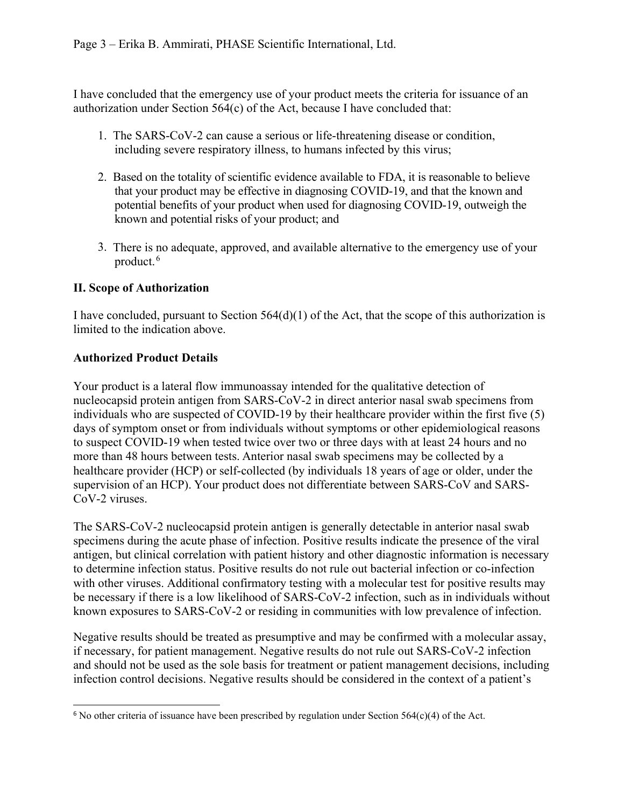I have concluded that the emergency use of your product meets the criteria for issuance of an authorization under Section 564(c) of the Act, because I have concluded that:

- 1. The SARS-CoV-2 can cause a serious or life-threatening disease or condition, including severe respiratory illness, to humans infected by this virus;
- 2. Based on the totality of scientific evidence available to FDA, it is reasonable to believe that your product may be effective in diagnosing COVID-19, and that the known and potential benefits of your product when used for diagnosing COVID-19, outweigh the known and potential risks of your product; and
- 3. There is no adequate, approved, and available alternative to the emergency use of your product. [6](#page-2-0)

## **II. Scope of Authorization**

I have concluded, pursuant to Section 564(d)(1) of the Act, that the scope of this authorization is limited to the indication above.

## **Authorized Product Details**

Your product is a lateral flow immunoassay intended for the qualitative detection of nucleocapsid protein antigen from SARS-CoV-2 in direct anterior nasal swab specimens from individuals who are suspected of COVID-19 by their healthcare provider within the first five (5) days of symptom onset or from individuals without symptoms or other epidemiological reasons to suspect COVID-19 when tested twice over two or three days with at least 24 hours and no more than 48 hours between tests. Anterior nasal swab specimens may be collected by a healthcare provider (HCP) or self-collected (by individuals 18 years of age or older, under the supervision of an HCP). Your product does not differentiate between SARS-CoV and SARS-CoV-2 viruses.

The SARS-CoV-2 nucleocapsid protein antigen is generally detectable in anterior nasal swab specimens during the acute phase of infection. Positive results indicate the presence of the viral antigen, but clinical correlation with patient history and other diagnostic information is necessary to determine infection status. Positive results do not rule out bacterial infection or co-infection with other viruses. Additional confirmatory testing with a molecular test for positive results may be necessary if there is a low likelihood of SARS-CoV-2 infection, such as in individuals without known exposures to SARS-CoV-2 or residing in communities with low prevalence of infection.

Negative results should be treated as presumptive and may be confirmed with a molecular assay, if necessary, for patient management. Negative results do not rule out SARS-CoV-2 infection and should not be used as the sole basis for treatment or patient management decisions, including infection control decisions. Negative results should be considered in the context of a patient's

<span id="page-2-0"></span><sup>&</sup>lt;sup>6</sup> No other criteria of issuance have been prescribed by regulation under Section 564(c)(4) of the Act.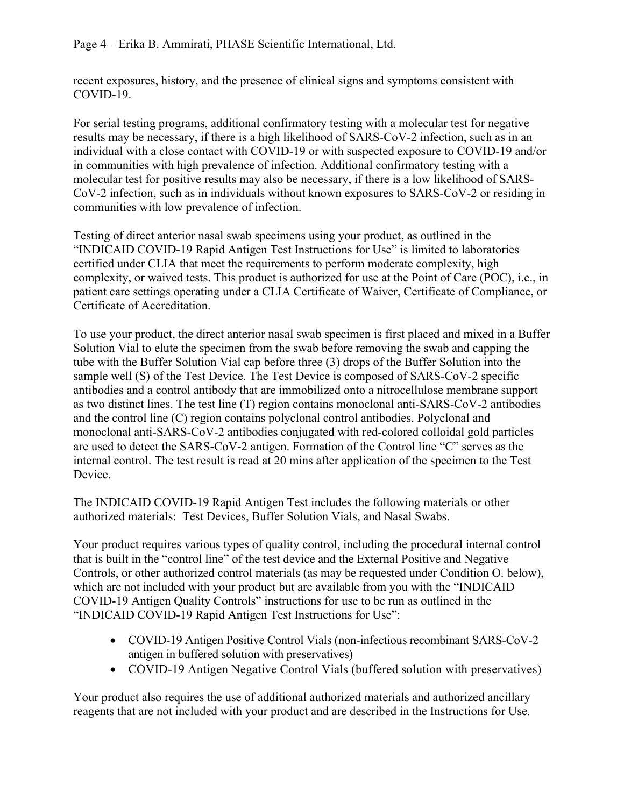recent exposures, history, and the presence of clinical signs and symptoms consistent with COVID-19.

For serial testing programs, additional confirmatory testing with a molecular test for negative results may be necessary, if there is a high likelihood of SARS-CoV-2 infection, such as in an individual with a close contact with COVID-19 or with suspected exposure to COVID-19 and/or in communities with high prevalence of infection. Additional confirmatory testing with a molecular test for positive results may also be necessary, if there is a low likelihood of SARS-CoV-2 infection, such as in individuals without known exposures to SARS-CoV-2 or residing in communities with low prevalence of infection.

Testing of direct anterior nasal swab specimens using your product, as outlined in the "INDICAID COVID-19 Rapid Antigen Test Instructions for Use" is limited to laboratories certified under CLIA that meet the requirements to perform moderate complexity, high complexity, or waived tests. This product is authorized for use at the Point of Care (POC), i.e., in patient care settings operating under a CLIA Certificate of Waiver, Certificate of Compliance, or Certificate of Accreditation.

To use your product, the direct anterior nasal swab specimen is first placed and mixed in a Buffer Solution Vial to elute the specimen from the swab before removing the swab and capping the tube with the Buffer Solution Vial cap before three (3) drops of the Buffer Solution into the sample well (S) of the Test Device. The Test Device is composed of SARS-CoV-2 specific antibodies and a control antibody that are immobilized onto a nitrocellulose membrane support as two distinct lines. The test line (T) region contains monoclonal anti-SARS-CoV-2 antibodies and the control line (C) region contains polyclonal control antibodies. Polyclonal and monoclonal anti-SARS-CoV-2 antibodies conjugated with red-colored colloidal gold particles are used to detect the SARS-CoV-2 antigen. Formation of the Control line "C" serves as the internal control. The test result is read at 20 mins after application of the specimen to the Test Device.

The INDICAID COVID-19 Rapid Antigen Test includes the following materials or other authorized materials: Test Devices, Buffer Solution Vials, and Nasal Swabs.

Your product requires various types of quality control, including the procedural internal control that is built in the "control line" of the test device and the External Positive and Negative Controls, or other authorized control materials (as may be requested under Condition O. below), which are not included with your product but are available from you with the "INDICAID COVID-19 Antigen Quality Controls" instructions for use to be run as outlined in the "INDICAID COVID-19 Rapid Antigen Test Instructions for Use":

- COVID-19 Antigen Positive Control Vials (non-infectious recombinant SARS-CoV-2 antigen in buffered solution with preservatives)
- COVID-19 Antigen Negative Control Vials (buffered solution with preservatives)

Your product also requires the use of additional authorized materials and authorized ancillary reagents that are not included with your product and are described in the Instructions for Use.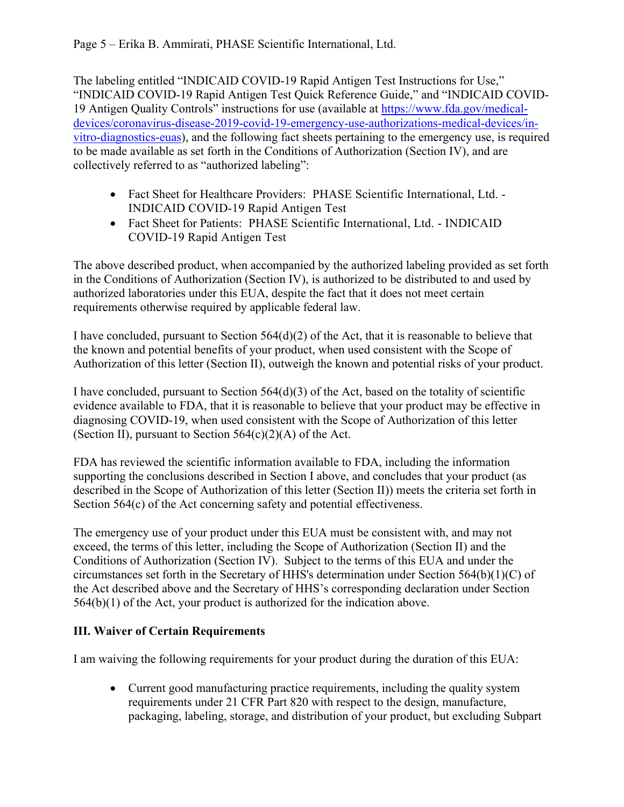The labeling entitled "INDICAID COVID-19 Rapid Antigen Test Instructions for Use," "INDICAID COVID-19 Rapid Antigen Test Quick Reference Guide," and "INDICAID COVID-19 Antigen Quality Controls" instructions for use (available at [https://www.fda.gov/medical](https://www.fda.gov/medical-devices/coronavirus-disease-2019-covid-19-emergency-use-authorizations-medical-devices/vitro-diagnostics-euas)[devices/coronavirus-disease-2019-covid-19-emergency-use-authorizations-medical-devices/in](https://www.fda.gov/medical-devices/coronavirus-disease-2019-covid-19-emergency-use-authorizations-medical-devices/vitro-diagnostics-euas)[vitro-diagnostics-euas\)](https://www.fda.gov/medical-devices/coronavirus-disease-2019-covid-19-emergency-use-authorizations-medical-devices/vitro-diagnostics-euas), and the following fact sheets pertaining to the emergency use, is required to be made available as set forth in the Conditions of Authorization (Section IV), and are collectively referred to as "authorized labeling":

- Fact Sheet for Healthcare Providers: PHASE Scientific International, Ltd. -INDICAID COVID-19 Rapid Antigen Test
- Fact Sheet for Patients: PHASE Scientific International, Ltd. INDICAID COVID-19 Rapid Antigen Test

The above described product, when accompanied by the authorized labeling provided as set forth in the Conditions of Authorization (Section IV), is authorized to be distributed to and used by authorized laboratories under this EUA, despite the fact that it does not meet certain requirements otherwise required by applicable federal law.

I have concluded, pursuant to Section 564(d)(2) of the Act, that it is reasonable to believe that the known and potential benefits of your product, when used consistent with the Scope of Authorization of this letter (Section II), outweigh the known and potential risks of your product.

I have concluded, pursuant to Section 564(d)(3) of the Act, based on the totality of scientific evidence available to FDA, that it is reasonable to believe that your product may be effective in diagnosing COVID-19, when used consistent with the Scope of Authorization of this letter (Section II), pursuant to Section  $564(c)(2)(A)$  of the Act.

FDA has reviewed the scientific information available to FDA, including the information supporting the conclusions described in Section I above, and concludes that your product (as described in the Scope of Authorization of this letter (Section II)) meets the criteria set forth in Section 564(c) of the Act concerning safety and potential effectiveness.

The emergency use of your product under this EUA must be consistent with, and may not exceed, the terms of this letter, including the Scope of Authorization (Section II) and the Conditions of Authorization (Section IV). Subject to the terms of this EUA and under the circumstances set forth in the Secretary of HHS's determination under Section 564(b)(1)(C) of the Act described above and the Secretary of HHS's corresponding declaration under Section  $564(b)(1)$  of the Act, your product is authorized for the indication above.

# **III. Waiver of Certain Requirements**

I am waiving the following requirements for your product during the duration of this EUA:

• Current good manufacturing practice requirements, including the quality system requirements under 21 CFR Part 820 with respect to the design, manufacture, packaging, labeling, storage, and distribution of your product, but excluding Subpart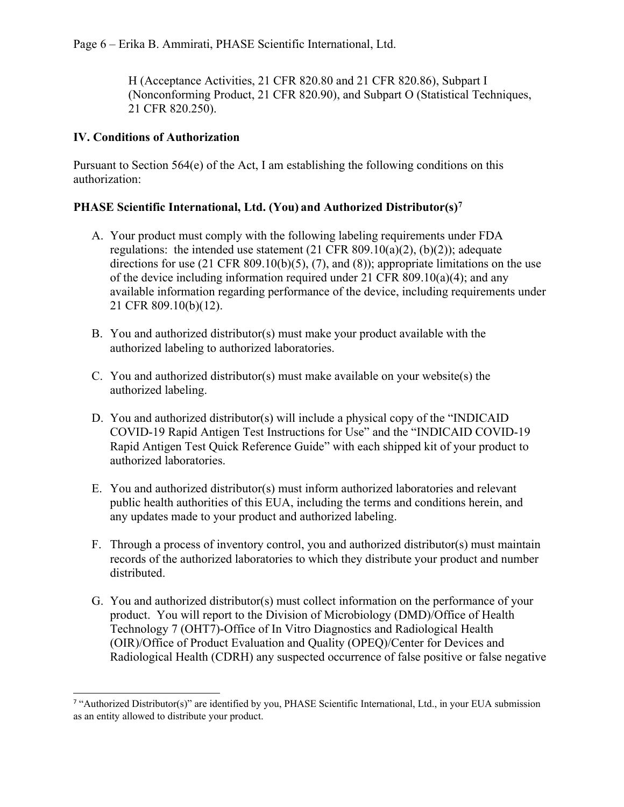Page 6 – Erika B. Ammirati, PHASE Scientific International, Ltd.

H (Acceptance Activities, 21 CFR 820.80 and 21 CFR 820.86), Subpart I (Nonconforming Product, 21 CFR 820.90), and Subpart O (Statistical Techniques, 21 CFR 820.250).

#### **IV. Conditions of Authorization**

Pursuant to Section  $564(e)$  of the Act, I am establishing the following conditions on this authorization:

### **PHASE Scientific International, Ltd. (You) and Authorized Distributor(s)[7](#page-5-0)**

- A. Your product must comply with the following labeling requirements under FDA regulations: the intended use statement  $(21 \text{ CFR } 809.10(a)(2), (b)(2))$ ; adequate directions for use (21 CFR 809.10(b)(5), (7), and (8)); appropriate limitations on the use of the device including information required under 21 CFR 809.10(a)(4); and any available information regarding performance of the device, including requirements under 21 CFR 809.10(b)(12).
- B. You and authorized distributor(s) must make your product available with the authorized labeling to authorized laboratories.
- C. You and authorized distributor(s) must make available on your website(s) the authorized labeling.
- D. You and authorized distributor(s) will include a physical copy of the "INDICAID COVID-19 Rapid Antigen Test Instructions for Use" and the "INDICAID COVID-19 Rapid Antigen Test Quick Reference Guide" with each shipped kit of your product to authorized laboratories.
- E. You and authorized distributor(s) must inform authorized laboratories and relevant public health authorities of this EUA, including the terms and conditions herein, and any updates made to your product and authorized labeling.
- F. Through a process of inventory control, you and authorized distributor(s) must maintain records of the authorized laboratories to which they distribute your product and number distributed.
- G. You and authorized distributor(s) must collect information on the performance of your product. You will report to the Division of Microbiology (DMD)/Office of Health Technology 7 (OHT7)-Office of In Vitro Diagnostics and Radiological Health (OIR)/Office of Product Evaluation and Quality (OPEQ)/Center for Devices and Radiological Health (CDRH) any suspected occurrence of false positive or false negative

<span id="page-5-0"></span><sup>7</sup> "Authorized Distributor(s)" are identified by you, PHASE Scientific International, Ltd., in your EUA submission as an entity allowed to distribute your product.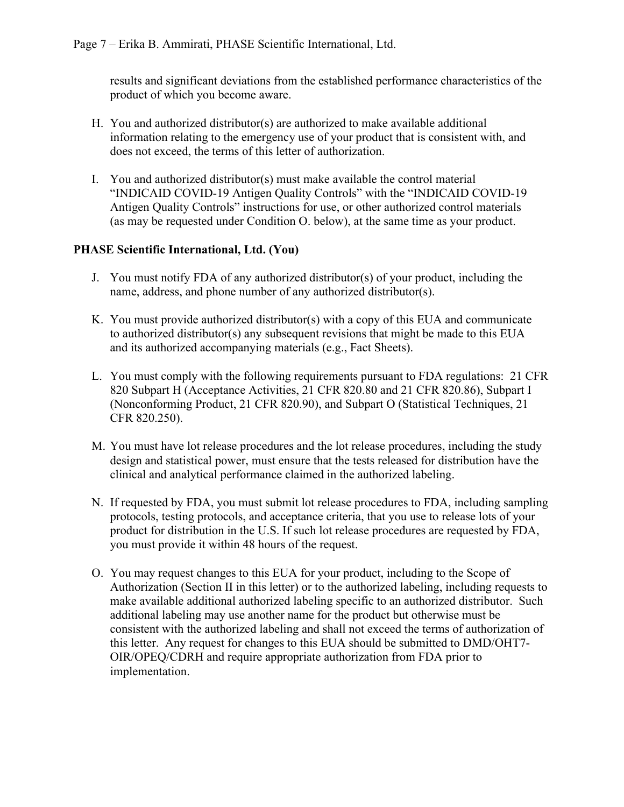results and significant deviations from the established performance characteristics of the product of which you become aware.

- H. You and authorized distributor(s) are authorized to make available additional information relating to the emergency use of your product that is consistent with, and does not exceed, the terms of this letter of authorization.
- I. You and authorized distributor(s) must make available the control material "INDICAID COVID-19 Antigen Quality Controls" with the "INDICAID COVID-19 Antigen Quality Controls" instructions for use, or other authorized control materials (as may be requested under Condition O. below), at the same time as your product.

### **PHASE Scientific International, Ltd. (You)**

- J. You must notify FDA of any authorized distributor(s) of your product, including the name, address, and phone number of any authorized distributor(s).
- K. You must provide authorized distributor(s) with a copy of this EUA and communicate to authorized distributor(s) any subsequent revisions that might be made to this EUA and its authorized accompanying materials (e.g., Fact Sheets).
- L. You must comply with the following requirements pursuant to FDA regulations: 21 CFR 820 Subpart H (Acceptance Activities, 21 CFR 820.80 and 21 CFR 820.86), Subpart I (Nonconforming Product, 21 CFR 820.90), and Subpart O (Statistical Techniques, 21 CFR 820.250).
- M. You must have lot release procedures and the lot release procedures, including the study design and statistical power, must ensure that the tests released for distribution have the clinical and analytical performance claimed in the authorized labeling.
- N. If requested by FDA, you must submit lot release procedures to FDA, including sampling protocols, testing protocols, and acceptance criteria, that you use to release lots of your product for distribution in the U.S. If such lot release procedures are requested by FDA, you must provide it within 48 hours of the request.
- O. You may request changes to this EUA for your product, including to the Scope of Authorization (Section II in this letter) or to the authorized labeling, including requests to make available additional authorized labeling specific to an authorized distributor. Such additional labeling may use another name for the product but otherwise must be consistent with the authorized labeling and shall not exceed the terms of authorization of this letter. Any request for changes to this EUA should be submitted to DMD/OHT7- OIR/OPEQ/CDRH and require appropriate authorization from FDA prior to implementation.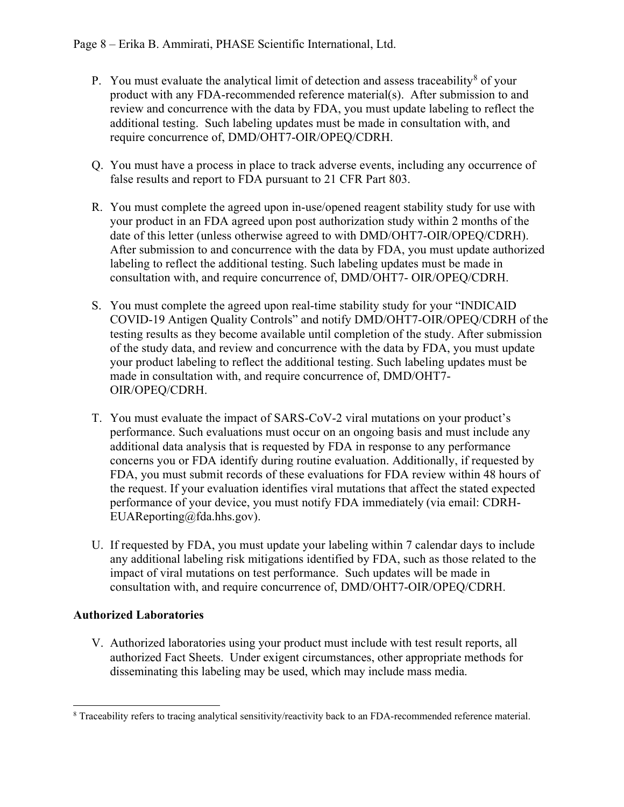- P. You must evaluate the analytical limit of detection and assess traceability<sup>[8](#page-7-0)</sup> of your product with any FDA-recommended reference material(s). After submission to and review and concurrence with the data by FDA, you must update labeling to reflect the additional testing. Such labeling updates must be made in consultation with, and require concurrence of, DMD/OHT7-OIR/OPEQ/CDRH.
- Q. You must have a process in place to track adverse events, including any occurrence of false results and report to FDA pursuant to 21 CFR Part 803.
- R. You must complete the agreed upon in-use/opened reagent stability study for use with your product in an FDA agreed upon post authorization study within 2 months of the date of this letter (unless otherwise agreed to with DMD/OHT7-OIR/OPEQ/CDRH). After submission to and concurrence with the data by FDA, you must update authorized labeling to reflect the additional testing. Such labeling updates must be made in consultation with, and require concurrence of, DMD/OHT7- OIR/OPEQ/CDRH.
- S. You must complete the agreed upon real-time stability study for your "INDICAID COVID-19 Antigen Quality Controls" and notify DMD/OHT7-OIR/OPEQ/CDRH of the testing results as they become available until completion of the study. After submission of the study data, and review and concurrence with the data by FDA, you must update your product labeling to reflect the additional testing. Such labeling updates must be made in consultation with, and require concurrence of, DMD/OHT7- OIR/OPEQ/CDRH.
- T. You must evaluate the impact of SARS-CoV-2 viral mutations on your product's performance. Such evaluations must occur on an ongoing basis and must include any additional data analysis that is requested by FDA in response to any performance concerns you or FDA identify during routine evaluation. Additionally, if requested by FDA, you must submit records of these evaluations for FDA review within 48 hours of the request. If your evaluation identifies viral mutations that affect the stated expected performance of your device, you must notify FDA immediately (via email: CDRH-EUAReporting@fda.hhs.gov).
- U. If requested by FDA, you must update your labeling within 7 calendar days to include any additional labeling risk mitigations identified by FDA, such as those related to the impact of viral mutations on test performance. Such updates will be made in consultation with, and require concurrence of, DMD/OHT7-OIR/OPEQ/CDRH.

# **Authorized Laboratories**

V. Authorized laboratories using your product must include with test result reports, all authorized Fact Sheets. Under exigent circumstances, other appropriate methods for disseminating this labeling may be used, which may include mass media.

<span id="page-7-0"></span><sup>8</sup> Traceability refers to tracing analytical sensitivity/reactivity back to an FDA-recommended reference material.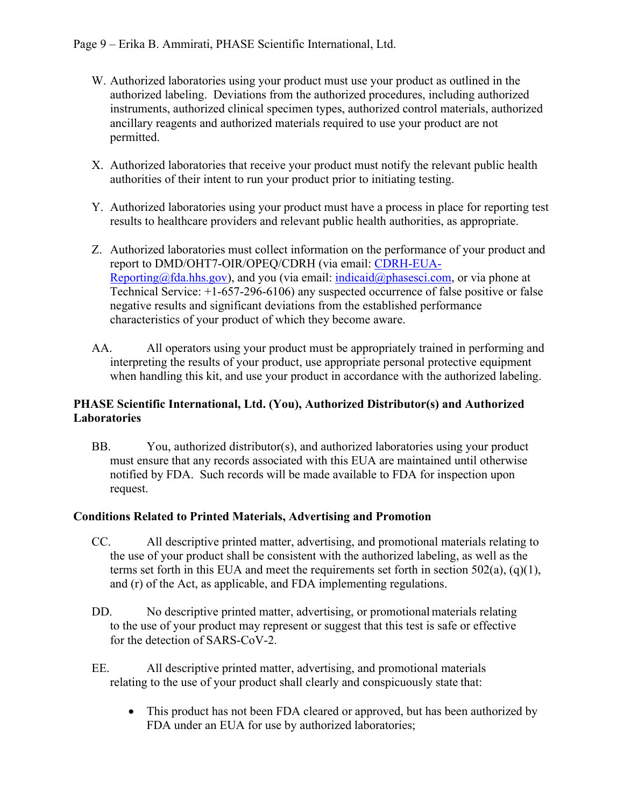- W. Authorized laboratories using your product must use your product as outlined in the authorized labeling. Deviations from the authorized procedures, including authorized instruments, authorized clinical specimen types, authorized control materials, authorized ancillary reagents and authorized materials required to use your product are not permitted.
- X. Authorized laboratories that receive your product must notify the relevant public health authorities of their intent to run your product prior to initiating testing.
- Y. Authorized laboratories using your product must have a process in place for reporting test results to healthcare providers and relevant public health authorities, as appropriate.
- Z. Authorized laboratories must collect information on the performance of your product and report to DMD/OHT7-OIR/OPEQ/CDRH (via email: [CDRH-EUA-](mailto:CDRH-EUA-Reporting@fda.hhs.gov)[Reporting@fda.hhs.gov\)](mailto:CDRH-EUA-Reporting@fda.hhs.gov), and you (via email: [indicaid@phasesci.com,](mailto:indicaid@phasesci.com) or via phone at Technical Service: +1-657-296-6106) any suspected occurrence of false positive or false negative results and significant deviations from the established performance characteristics of your product of which they become aware.
- AA. All operators using your product must be appropriately trained in performing and interpreting the results of your product, use appropriate personal protective equipment when handling this kit, and use your product in accordance with the authorized labeling.

### **PHASE Scientific International, Ltd. (You), Authorized Distributor(s) and Authorized Laboratories**

BB. You, authorized distributor(s), and authorized laboratories using your product must ensure that any records associated with this EUA are maintained until otherwise notified by FDA. Such records will be made available to FDA for inspection upon request.

## **Conditions Related to Printed Materials, Advertising and Promotion**

- CC. All descriptive printed matter, advertising, and promotional materials relating to the use of your product shall be consistent with the authorized labeling, as well as the terms set forth in this EUA and meet the requirements set forth in section  $502(a)$ ,  $(q)(1)$ , and (r) of the Act, as applicable, and FDA implementing regulations.
- DD. No descriptive printed matter, advertising, or promotional materials relating to the use of your product may represent or suggest that this test is safe or effective for the detection of SARS-CoV-2.
- EE. All descriptive printed matter, advertising, and promotional materials relating to the use of your product shall clearly and conspicuously state that:
	- This product has not been FDA cleared or approved, but has been authorized by FDA under an EUA for use by authorized laboratories;